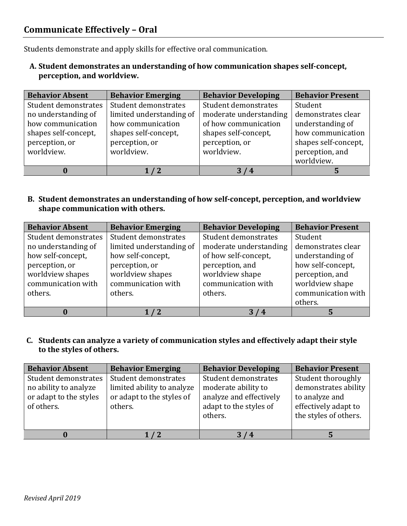# **Communicate Effectively – Oral**

Students demonstrate and apply skills for effective oral communication.

**A. Student demonstrates an understanding of how communication shapes self-concept, perception, and worldview.** 

| <b>Behavior Absent</b> | <b>Behavior Emerging</b> | <b>Behavior Developing</b> | <b>Behavior Present</b> |
|------------------------|--------------------------|----------------------------|-------------------------|
| Student demonstrates   | Student demonstrates     | Student demonstrates       | Student                 |
| no understanding of    | limited understanding of | moderate understanding     | demonstrates clear      |
| how communication      | how communication        | of how communication       | understanding of        |
| shapes self-concept,   | shapes self-concept,     | shapes self-concept,       | how communication       |
| perception, or         | perception, or           | perception, or             | shapes self-concept,    |
| worldview.             | worldview.               | worldview.                 | perception, and         |
|                        |                          |                            | worldview.              |
|                        |                          | 4                          |                         |

**B. Student demonstrates an understanding of how self-concept, perception, and worldview shape communication with others.**

| <b>Behavior Absent</b> | <b>Behavior Emerging</b> | <b>Behavior Developing</b> | <b>Behavior Present</b> |
|------------------------|--------------------------|----------------------------|-------------------------|
| Student demonstrates   | Student demonstrates     | Student demonstrates       | Student                 |
| no understanding of    | limited understanding of | moderate understanding     | demonstrates clear      |
| how self-concept,      | how self-concept,        | of how self-concept,       | understanding of        |
| perception, or         | perception, or           | perception, and            | how self-concept,       |
| worldview shapes       | worldview shapes         | worldview shape            | perception, and         |
| communication with     | communication with       | communication with         | worldview shape         |
| others.                | others.                  | others.                    | communication with      |
|                        |                          |                            | others.                 |
|                        |                          |                            |                         |

**C. Students can analyze a variety of communication styles and effectively adapt their style to the styles of others.**

| <b>Behavior Absent</b>                                                                | <b>Behavior Emerging</b>                                                                   | <b>Behavior Developing</b>                                                                                  | <b>Behavior Present</b>                                                                                       |
|---------------------------------------------------------------------------------------|--------------------------------------------------------------------------------------------|-------------------------------------------------------------------------------------------------------------|---------------------------------------------------------------------------------------------------------------|
| Student demonstrates<br>no ability to analyze<br>or adapt to the styles<br>of others. | Student demonstrates<br>limited ability to analyze<br>or adapt to the styles of<br>others. | Student demonstrates<br>moderate ability to<br>analyze and effectively<br>adapt to the styles of<br>others. | Student thoroughly<br>demonstrates ability<br>to analyze and<br>effectively adapt to<br>the styles of others. |
|                                                                                       | $\sqrt{2}$                                                                                 | /4                                                                                                          |                                                                                                               |